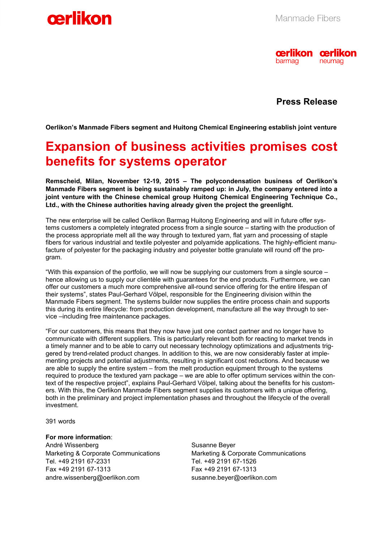



 **Press Release** 

**Oerlikon's Manmade Fibers segment and Huitong Chemical Engineering establish joint venture** 

## **Expansion of business activities promises cost benefits for systems operator**

**Remscheid, Milan, November 12-19, 2015 – The polycondensation business of Oerlikon's Manmade Fibers segment is being sustainably ramped up: in July, the company entered into a joint venture with the Chinese chemical group Huitong Chemical Engineering Technique Co., Ltd., with the Chinese authorities having already given the project the greenlight.** 

The new enterprise will be called Oerlikon Barmag Huitong Engineering and will in future offer systems customers a completely integrated process from a single source – starting with the production of the process appropriate melt all the way through to textured yarn, flat yarn and processing of staple fibers for various industrial and textile polyester and polyamide applications. The highly-efficient manufacture of polyester for the packaging industry and polyester bottle granulate will round off the program.

"With this expansion of the portfolio, we will now be supplying our customers from a single source – hence allowing us to supply our clientèle with guarantees for the end products. Furthermore, we can offer our customers a much more comprehensive all-round service offering for the entire lifespan of their systems", states Paul-Gerhard Völpel, responsible for the Engineering division within the Manmade Fibers segment. The systems builder now supplies the entire process chain and supports this during its entire lifecycle: from production development, manufacture all the way through to service –including free maintenance packages.

"For our customers, this means that they now have just one contact partner and no longer have to communicate with different suppliers. This is particularly relevant both for reacting to market trends in a timely manner and to be able to carry out necessary technology optimizations and adjustments triggered by trend-related product changes. In addition to this, we are now considerably faster at implementing projects and potential adjustments, resulting in significant cost reductions. And because we are able to supply the entire system – from the melt production equipment through to the systems required to produce the textured yarn package – we are able to offer optimum services within the context of the respective project", explains Paul-Gerhard Völpel, talking about the benefits for his customers. With this, the Oerlikon Manmade Fibers segment supplies its customers with a unique offering, both in the preliminary and project implementation phases and throughout the lifecycle of the overall investment.

391 words

**For more information**:

André Wissenberg Marketing & Corporate Communications Tel. +49 2191 67-2331 Fax +49 2191 67-1313 andre.wissenberg@oerlikon.com

Susanne Beyer Marketing & Corporate Communications Tel. +49 2191 67-1526 Fax +49 2191 67-1313 susanne.beyer@oerlikon.com